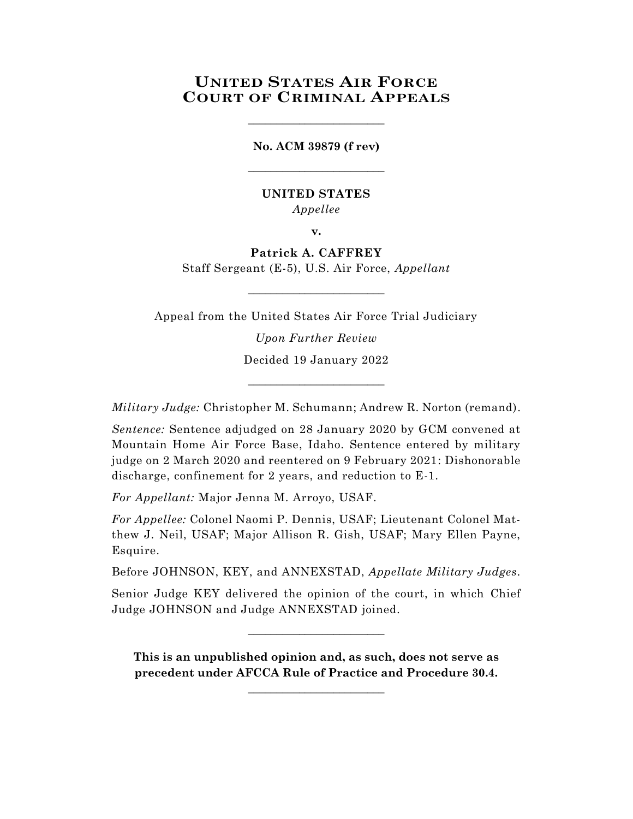# **UNITED STATES AIR FORCE COURT OF CRIMINAL APPEALS**

**No. ACM 39879 (f rev)** \_\_\_\_\_\_\_\_\_\_\_\_\_\_\_\_\_\_\_\_\_\_\_\_

\_\_\_\_\_\_\_\_\_\_\_\_\_\_\_\_\_\_\_\_\_\_\_\_

### **UNITED STATES** *Appellee*

**v.**

**Patrick A. CAFFREY** Staff Sergeant (E-5), U.S. Air Force, *Appellant*

Appeal from the United States Air Force Trial Judiciary

 $\_$ 

*Upon Further Review* Decided 19 January 2022

*Military Judge:* Christopher M. Schumann; Andrew R. Norton (remand).

\_\_\_\_\_\_\_\_\_\_\_\_\_\_\_\_\_\_\_\_\_\_\_\_

*Sentence:* Sentence adjudged on 28 January 2020 by GCM convened at Mountain Home Air Force Base, Idaho. Sentence entered by military judge on 2 March 2020 and reentered on 9 February 2021: Dishonorable discharge, confinement for 2 years, and reduction to E-1.

*For Appellant:* Major Jenna M. Arroyo, USAF.

*For Appellee:* Colonel Naomi P. Dennis, USAF; Lieutenant Colonel Matthew J. Neil, USAF; Major Allison R. Gish, USAF; Mary Ellen Payne, Esquire.

Before JOHNSON, KEY, and ANNEXSTAD, *Appellate Military Judges.*

Senior Judge KEY delivered the opinion of the court, in which Chief Judge JOHNSON and Judge ANNEXSTAD joined.

 $\_$ 

**This is an unpublished opinion and, as such, does not serve as precedent under AFCCA Rule of Practice and Procedure 30.4.**

**\_\_\_\_\_\_\_\_\_\_\_\_\_\_\_\_\_\_\_\_\_\_\_\_**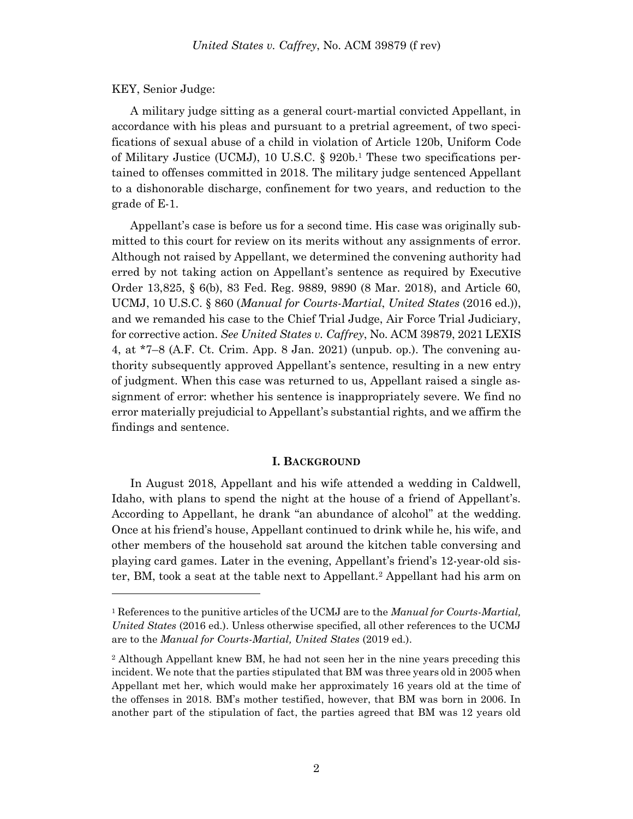#### KEY, Senior Judge:

l

A military judge sitting as a general court-martial convicted Appellant, in accordance with his pleas and pursuant to a pretrial agreement, of two specifications of sexual abuse of a child in violation of Article 120b, Uniform Code of Military Justice (UCMJ), 10 U.S.C. § 920b. <sup>1</sup> These two specifications pertained to offenses committed in 2018. The military judge sentenced Appellant to a dishonorable discharge, confinement for two years, and reduction to the grade of E-1.

Appellant's case is before us for a second time. His case was originally submitted to this court for review on its merits without any assignments of error. Although not raised by Appellant, we determined the convening authority had erred by not taking action on Appellant's sentence as required by Executive Order 13,825, § 6(b), 83 Fed. Reg. 9889, 9890 (8 Mar. 2018), and Article 60, UCMJ, 10 U.S.C. § 860 (*Manual for Courts-Martial*, *United States* (2016 ed.)), and we remanded his case to the Chief Trial Judge, Air Force Trial Judiciary, for corrective action. *See United States v. Caffrey*, No. ACM 39879, 2021 LEXIS 4, at \*7–8 (A.F. Ct. Crim. App. 8 Jan. 2021) (unpub. op.). The convening authority subsequently approved Appellant's sentence, resulting in a new entry of judgment. When this case was returned to us, Appellant raised a single assignment of error: whether his sentence is inappropriately severe. We find no error materially prejudicial to Appellant's substantial rights, and we affirm the findings and sentence.

#### **I. BACKGROUND**

In August 2018, Appellant and his wife attended a wedding in Caldwell, Idaho, with plans to spend the night at the house of a friend of Appellant's. According to Appellant, he drank "an abundance of alcohol" at the wedding. Once at his friend's house, Appellant continued to drink while he, his wife, and other members of the household sat around the kitchen table conversing and playing card games. Later in the evening, Appellant's friend's 12-year-old sister, BM, took a seat at the table next to Appellant.<sup>2</sup> Appellant had his arm on

<sup>1</sup> References to the punitive articles of the UCMJ are to the *Manual for Courts-Martial, United States* (2016 ed.). Unless otherwise specified, all other references to the UCMJ are to the *Manual for Courts-Martial, United States* (2019 ed.).

<sup>2</sup> Although Appellant knew BM, he had not seen her in the nine years preceding this incident. We note that the parties stipulated that BM was three years old in 2005 when Appellant met her, which would make her approximately 16 years old at the time of the offenses in 2018. BM's mother testified, however, that BM was born in 2006. In another part of the stipulation of fact, the parties agreed that BM was 12 years old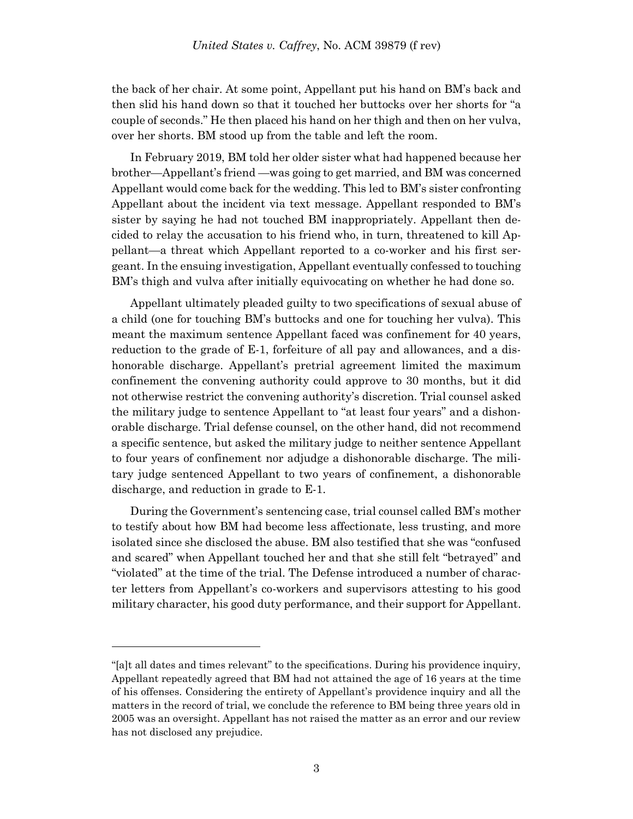the back of her chair. At some point, Appellant put his hand on BM's back and then slid his hand down so that it touched her buttocks over her shorts for "a couple of seconds." He then placed his hand on her thigh and then on her vulva, over her shorts. BM stood up from the table and left the room.

In February 2019, BM told her older sister what had happened because her brother—Appellant's friend —was going to get married, and BM was concerned Appellant would come back for the wedding. This led to BM's sister confronting Appellant about the incident via text message. Appellant responded to BM's sister by saying he had not touched BM inappropriately. Appellant then decided to relay the accusation to his friend who, in turn, threatened to kill Appellant—a threat which Appellant reported to a co-worker and his first sergeant. In the ensuing investigation, Appellant eventually confessed to touching BM's thigh and vulva after initially equivocating on whether he had done so.

Appellant ultimately pleaded guilty to two specifications of sexual abuse of a child (one for touching BM's buttocks and one for touching her vulva). This meant the maximum sentence Appellant faced was confinement for 40 years, reduction to the grade of E-1, forfeiture of all pay and allowances, and a dishonorable discharge. Appellant's pretrial agreement limited the maximum confinement the convening authority could approve to 30 months, but it did not otherwise restrict the convening authority's discretion. Trial counsel asked the military judge to sentence Appellant to "at least four years" and a dishonorable discharge. Trial defense counsel, on the other hand, did not recommend a specific sentence, but asked the military judge to neither sentence Appellant to four years of confinement nor adjudge a dishonorable discharge. The military judge sentenced Appellant to two years of confinement, a dishonorable discharge, and reduction in grade to E-1.

During the Government's sentencing case, trial counsel called BM's mother to testify about how BM had become less affectionate, less trusting, and more isolated since she disclosed the abuse. BM also testified that she was "confused and scared" when Appellant touched her and that she still felt "betrayed" and "violated" at the time of the trial. The Defense introduced a number of character letters from Appellant's co-workers and supervisors attesting to his good military character, his good duty performance, and their support for Appellant.

l

<sup>&</sup>quot;[a]t all dates and times relevant" to the specifications. During his providence inquiry, Appellant repeatedly agreed that BM had not attained the age of 16 years at the time of his offenses. Considering the entirety of Appellant's providence inquiry and all the matters in the record of trial, we conclude the reference to BM being three years old in 2005 was an oversight. Appellant has not raised the matter as an error and our review has not disclosed any prejudice.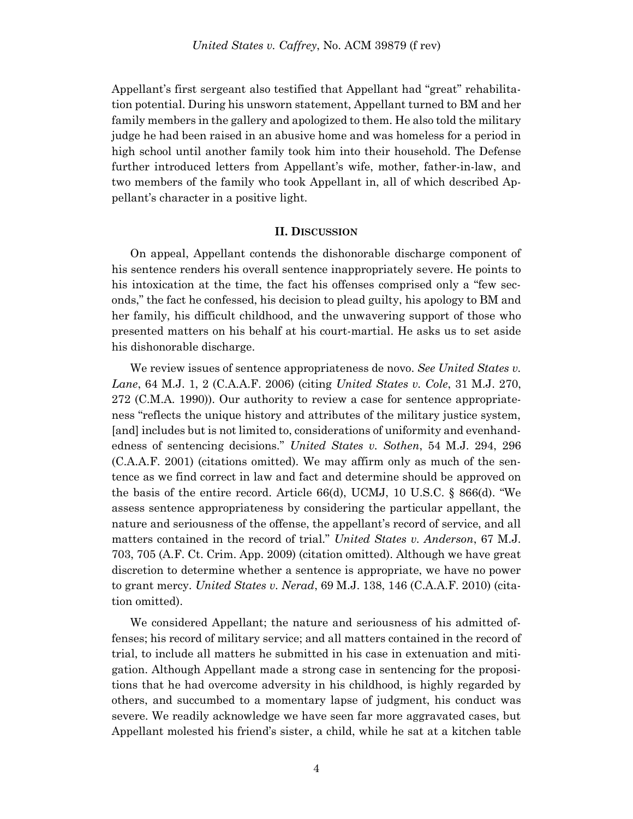Appellant's first sergeant also testified that Appellant had "great" rehabilitation potential. During his unsworn statement, Appellant turned to BM and her family members in the gallery and apologized to them. He also told the military judge he had been raised in an abusive home and was homeless for a period in high school until another family took him into their household. The Defense further introduced letters from Appellant's wife, mother, father-in-law, and two members of the family who took Appellant in, all of which described Appellant's character in a positive light.

#### **II. DISCUSSION**

On appeal, Appellant contends the dishonorable discharge component of his sentence renders his overall sentence inappropriately severe. He points to his intoxication at the time, the fact his offenses comprised only a "few seconds," the fact he confessed, his decision to plead guilty, his apology to BM and her family, his difficult childhood, and the unwavering support of those who presented matters on his behalf at his court-martial. He asks us to set aside his dishonorable discharge.

We review issues of sentence appropriateness de novo. *See United States v. Lane*, 64 M.J. 1, 2 (C.A.A.F. 2006) (citing *United States v. Cole*, 31 M.J. 270, 272 (C.M.A. 1990)). Our authority to review a case for sentence appropriateness "reflects the unique history and attributes of the military justice system, [and] includes but is not limited to, considerations of uniformity and evenhandedness of sentencing decisions." *United States v. Sothen*, 54 M.J. 294, 296 (C.A.A.F. 2001) (citations omitted). We may affirm only as much of the sentence as we find correct in law and fact and determine should be approved on the basis of the entire record. Article  $66(d)$ , UCMJ, 10 U.S.C. §  $866(d)$ . "We assess sentence appropriateness by considering the particular appellant, the nature and seriousness of the offense, the appellant's record of service, and all matters contained in the record of trial." *United States v. Anderson*, 67 M.J. 703, 705 (A.F. Ct. Crim. App. 2009) (citation omitted). Although we have great discretion to determine whether a sentence is appropriate, we have no power to grant mercy. *United States v. Nerad*, 69 M.J. 138, 146 (C.A.A.F. 2010) (citation omitted).

We considered Appellant; the nature and seriousness of his admitted offenses; his record of military service; and all matters contained in the record of trial, to include all matters he submitted in his case in extenuation and mitigation. Although Appellant made a strong case in sentencing for the propositions that he had overcome adversity in his childhood, is highly regarded by others, and succumbed to a momentary lapse of judgment, his conduct was severe. We readily acknowledge we have seen far more aggravated cases, but Appellant molested his friend's sister, a child, while he sat at a kitchen table